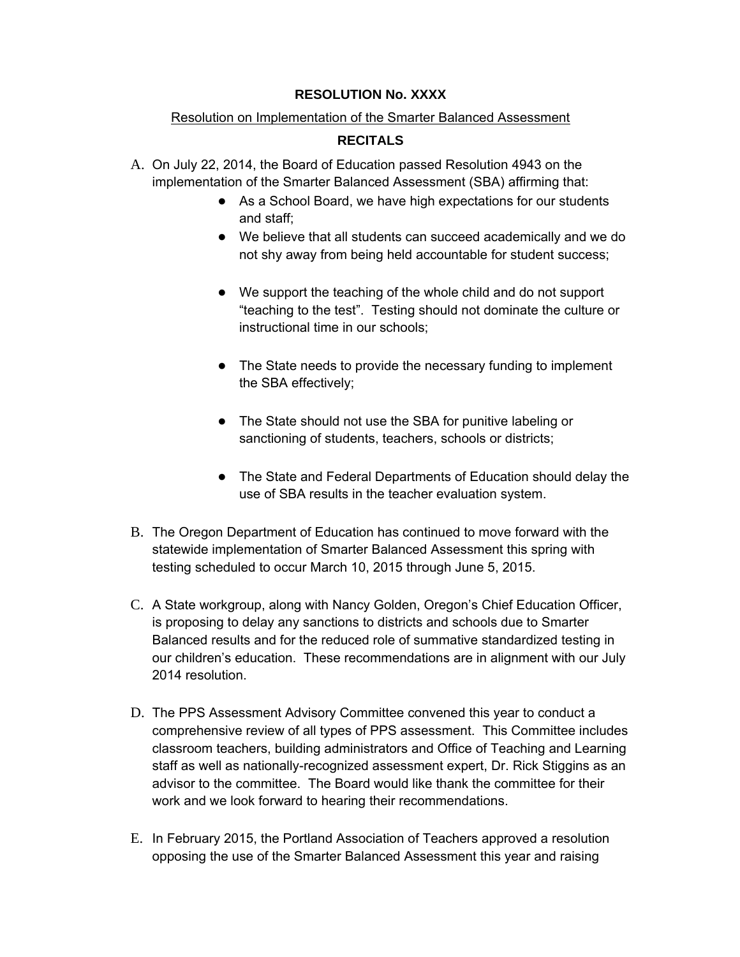## **RESOLUTION No. XXXX**

## Resolution on Implementation of the Smarter Balanced Assessment

## **RECITALS**

- A. On July 22, 2014, the Board of Education passed Resolution 4943 on the implementation of the Smarter Balanced Assessment (SBA) affirming that:
	- As a School Board, we have high expectations for our students and staff;
	- We believe that all students can succeed academically and we do not shy away from being held accountable for student success;
	- We support the teaching of the whole child and do not support "teaching to the test". Testing should not dominate the culture or instructional time in our schools;
	- The State needs to provide the necessary funding to implement the SBA effectively;
	- The State should not use the SBA for punitive labeling or sanctioning of students, teachers, schools or districts;
	- The State and Federal Departments of Education should delay the use of SBA results in the teacher evaluation system.
- B. The Oregon Department of Education has continued to move forward with the statewide implementation of Smarter Balanced Assessment this spring with testing scheduled to occur March 10, 2015 through June 5, 2015.
- C. A State workgroup, along with Nancy Golden, Oregon's Chief Education Officer, is proposing to delay any sanctions to districts and schools due to Smarter Balanced results and for the reduced role of summative standardized testing in our children's education. These recommendations are in alignment with our July 2014 resolution.
- D. The PPS Assessment Advisory Committee convened this year to conduct a comprehensive review of all types of PPS assessment. This Committee includes classroom teachers, building administrators and Office of Teaching and Learning staff as well as nationally-recognized assessment expert, Dr. Rick Stiggins as an advisor to the committee. The Board would like thank the committee for their work and we look forward to hearing their recommendations.
- E. In February 2015, the Portland Association of Teachers approved a resolution opposing the use of the Smarter Balanced Assessment this year and raising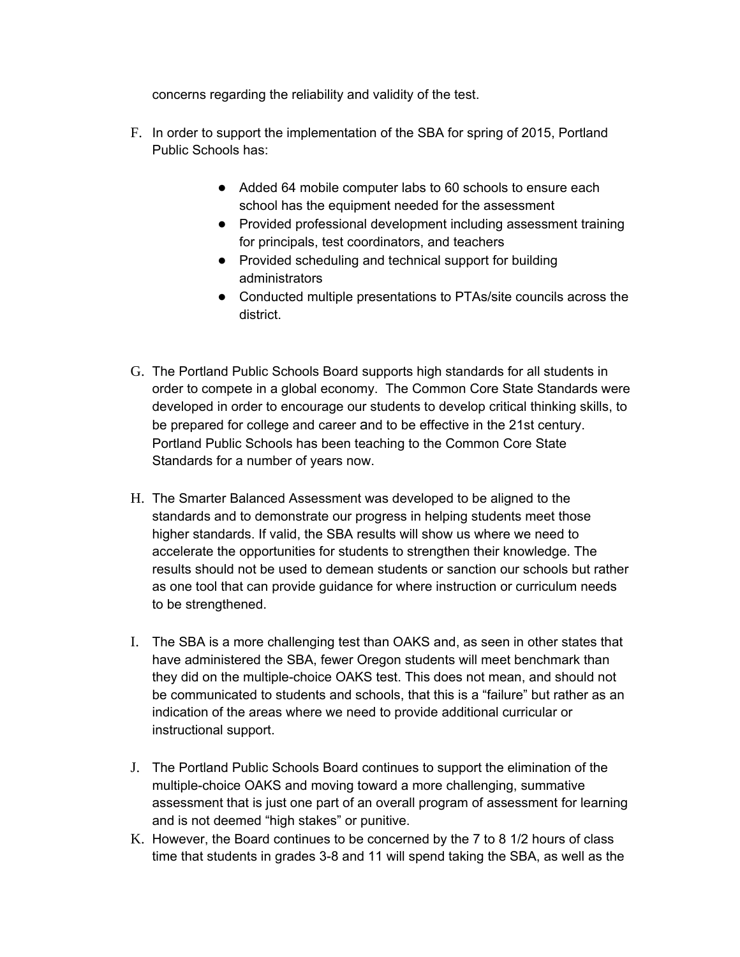concerns regarding the reliability and validity of the test.

- F. In order to support the implementation of the SBA for spring of 2015, Portland Public Schools has:
	- Added 64 mobile computer labs to 60 schools to ensure each school has the equipment needed for the assessment
	- Provided professional development including assessment training for principals, test coordinators, and teachers
	- Provided scheduling and technical support for building administrators
	- Conducted multiple presentations to PTAs/site councils across the district.
- G. The Portland Public Schools Board supports high standards for all students in order to compete in a global economy. The Common Core State Standards were developed in order to encourage our students to develop critical thinking skills, to be prepared for college and career and to be effective in the 21st century. Portland Public Schools has been teaching to the Common Core State Standards for a number of years now.
- H. The Smarter Balanced Assessment was developed to be aligned to the standards and to demonstrate our progress in helping students meet those higher standards. If valid, the SBA results will show us where we need to accelerate the opportunities for students to strengthen their knowledge. The results should not be used to demean students or sanction our schools but rather as one tool that can provide guidance for where instruction or curriculum needs to be strengthened.
- I. The SBA is a more challenging test than OAKS and, as seen in other states that have administered the SBA, fewer Oregon students will meet benchmark than they did on the multiple-choice OAKS test. This does not mean, and should not be communicated to students and schools, that this is a "failure" but rather as an indication of the areas where we need to provide additional curricular or instructional support.
- J. The Portland Public Schools Board continues to support the elimination of the multiple-choice OAKS and moving toward a more challenging, summative assessment that is just one part of an overall program of assessment for learning and is not deemed "high stakes" or punitive.
- K. However, the Board continues to be concerned by the 7 to 8 1/2 hours of class time that students in grades 3-8 and 11 will spend taking the SBA, as well as the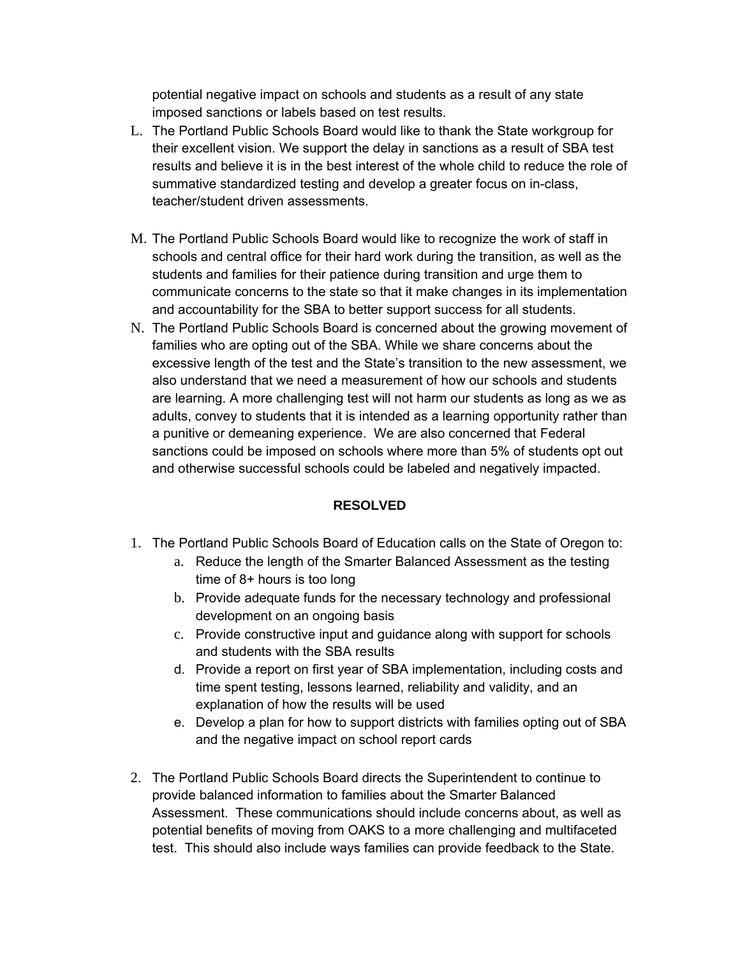potential negative impact on schools and students as a result of any state imposed sanctions or labels based on test results.

- L. The Portland Public Schools Board would like to thank the State workgroup for their excellent vision. We support the delay in sanctions as a result of SBA test results and believe it is in the best interest of the whole child to reduce the role of summative standardized testing and develop a greater focus on in-class, teacher/student driven assessments.
- M. The Portland Public Schools Board would like to recognize the work of staff in schools and central office for their hard work during the transition, as well as the students and families for their patience during transition and urge them to communicate concerns to the state so that it make changes in its implementation and accountability for the SBA to better support success for all students.
- N. The Portland Public Schools Board is concerned about the growing movement of families who are opting out of the SBA. While we share concerns about the excessive length of the test and the State's transition to the new assessment, we also understand that we need a measurement of how our schools and students are learning. A more challenging test will not harm our students as long as we as adults, convey to students that it is intended as a learning opportunity rather than a punitive or demeaning experience. We are also concerned that Federal sanctions could be imposed on schools where more than 5% of students opt out and otherwise successful schools could be labeled and negatively impacted.

## **RESOLVED**

- 1. The Portland Public Schools Board of Education calls on the State of Oregon to:
	- a. Reduce the length of the Smarter Balanced Assessment as the testing time of 8+ hours is too long
	- b. Provide adequate funds for the necessary technology and professional development on an ongoing basis
	- c. Provide constructive input and guidance along with support for schools and students with the SBA results
	- d. Provide a report on first year of SBA implementation, including costs and time spent testing, lessons learned, reliability and validity, and an explanation of how the results will be used
	- e. Develop a plan for how to support districts with families opting out of SBA and the negative impact on school report cards
- 2. The Portland Public Schools Board directs the Superintendent to continue to provide balanced information to families about the Smarter Balanced Assessment. These communications should include concerns about, as well as potential benefits of moving from OAKS to a more challenging and multifaceted test. This should also include ways families can provide feedback to the State.